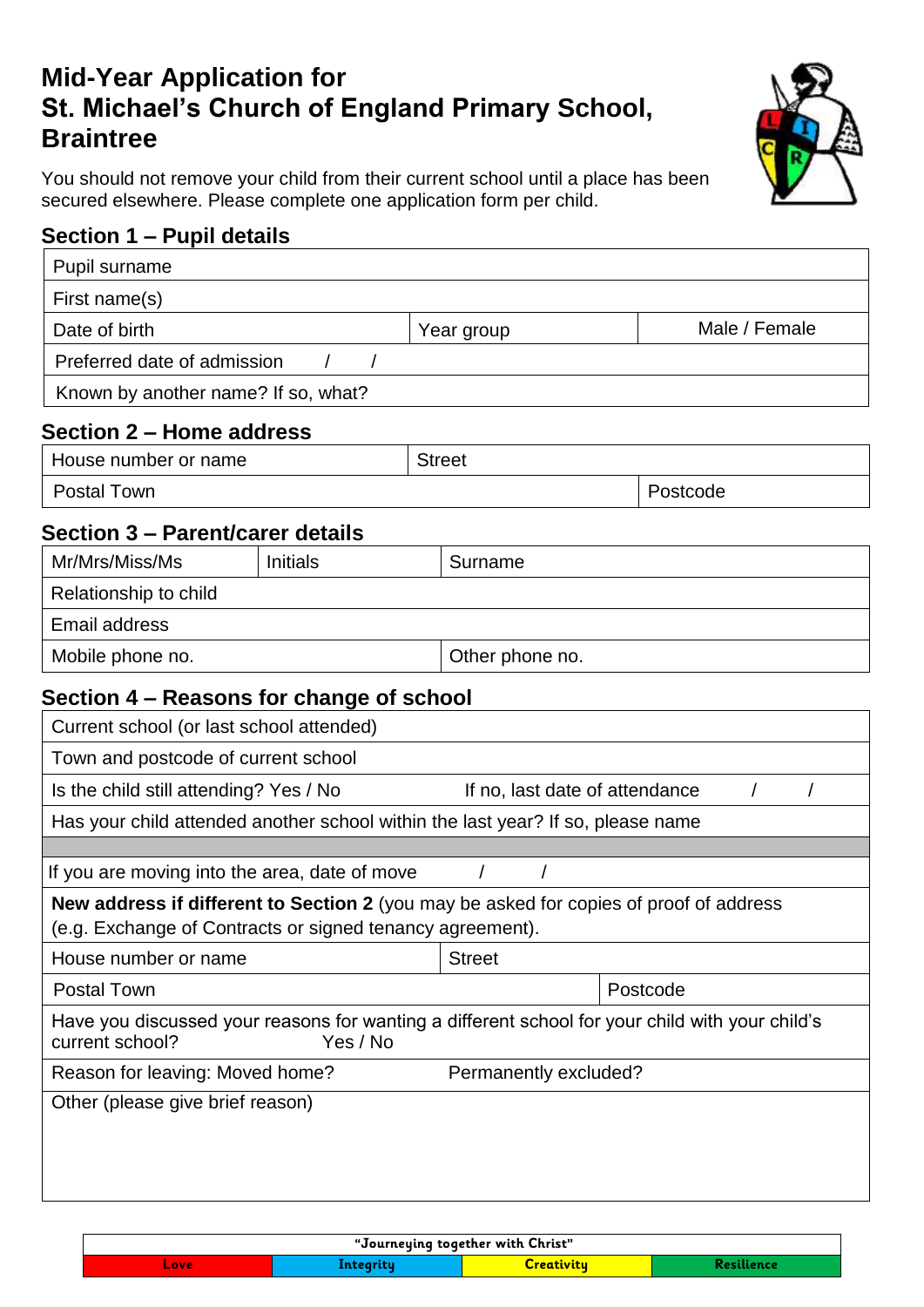# **Mid-Year Application for St. Michael's Church of England Primary School, Braintree**

You should not remove your child from their current school until a place has been secured elsewhere. Please complete one application form per child.

# **Section 1 – Pupil details**

| Pupil surname                                                                                                                                       |                 |  |                                |                                                                                                 |
|-----------------------------------------------------------------------------------------------------------------------------------------------------|-----------------|--|--------------------------------|-------------------------------------------------------------------------------------------------|
| First name(s)                                                                                                                                       |                 |  |                                |                                                                                                 |
| Date of birth                                                                                                                                       |                 |  | Year group                     | Male / Female                                                                                   |
| Preferred date of admission                                                                                                                         |                 |  |                                |                                                                                                 |
| Known by another name? If so, what?                                                                                                                 |                 |  |                                |                                                                                                 |
| Section 2 - Home address                                                                                                                            |                 |  |                                |                                                                                                 |
| House number or name                                                                                                                                |                 |  | <b>Street</b>                  |                                                                                                 |
| <b>Postal Town</b>                                                                                                                                  |                 |  | Postcode                       |                                                                                                 |
| Section 3 – Parent/carer details                                                                                                                    |                 |  |                                |                                                                                                 |
| Mr/Mrs/Miss/Ms                                                                                                                                      | <b>Initials</b> |  | Surname                        |                                                                                                 |
| Relationship to child                                                                                                                               |                 |  |                                |                                                                                                 |
| <b>Email address</b>                                                                                                                                |                 |  |                                |                                                                                                 |
| Mobile phone no.                                                                                                                                    |                 |  | Other phone no.                |                                                                                                 |
| Section 4 – Reasons for change of school                                                                                                            |                 |  |                                |                                                                                                 |
| Current school (or last school attended)                                                                                                            |                 |  |                                |                                                                                                 |
| Town and postcode of current school                                                                                                                 |                 |  |                                |                                                                                                 |
| Is the child still attending? Yes / No                                                                                                              |                 |  | If no, last date of attendance |                                                                                                 |
| Has your child attended another school within the last year? If so, please name                                                                     |                 |  |                                |                                                                                                 |
| If you are moving into the area, date of move                                                                                                       |                 |  | $\prime$                       |                                                                                                 |
| New address if different to Section 2 (you may be asked for copies of proof of address<br>(e.g. Exchange of Contracts or signed tenancy agreement). |                 |  |                                |                                                                                                 |
| House number or name                                                                                                                                |                 |  | <b>Street</b>                  |                                                                                                 |
| <b>Postal Town</b>                                                                                                                                  |                 |  | Postcode                       |                                                                                                 |
| current school?                                                                                                                                     | Yes / No        |  |                                | Have you discussed your reasons for wanting a different school for your child with your child's |
| Reason for leaving: Moved home?                                                                                                                     |                 |  | Permanently excluded?          |                                                                                                 |
| Other (please give brief reason)                                                                                                                    |                 |  |                                |                                                                                                 |
|                                                                                                                                                     |                 |  |                                |                                                                                                 |
|                                                                                                                                                     |                 |  |                                |                                                                                                 |
|                                                                                                                                                     |                 |  |                                |                                                                                                 |

| "Journeying together with Christ" |           |                   |            |
|-----------------------------------|-----------|-------------------|------------|
| Love                              | Integrity | <u>Creativity</u> | Resilience |

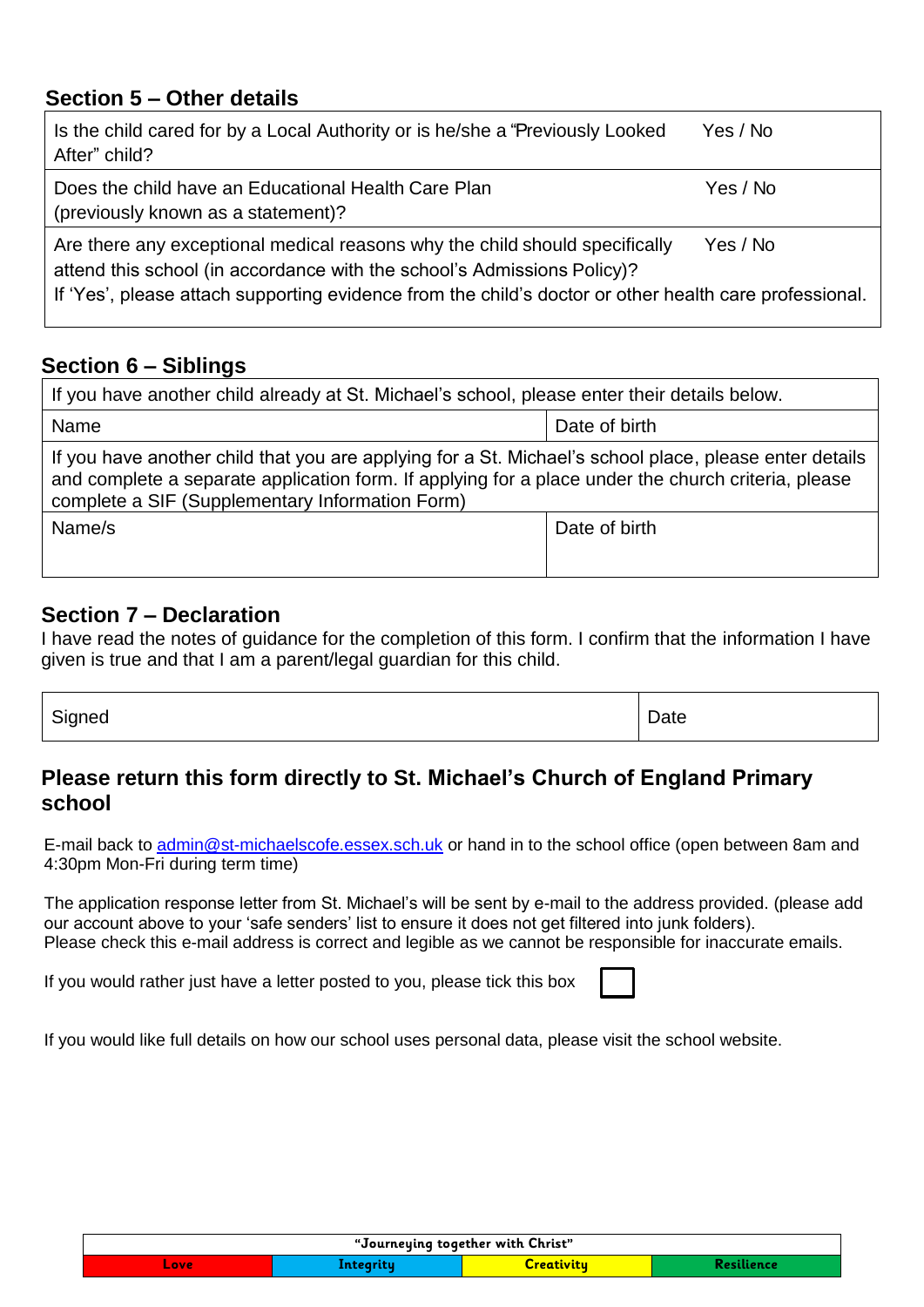### **Section 5 – Other details**

| Is the child cared for by a Local Authority or is he/she a "Previously Looked"<br>After" child?                                                                                                                                                                  | Yes / No |
|------------------------------------------------------------------------------------------------------------------------------------------------------------------------------------------------------------------------------------------------------------------|----------|
| Does the child have an Educational Health Care Plan<br>(previously known as a statement)?                                                                                                                                                                        | Yes / No |
| Are there any exceptional medical reasons why the child should specifically<br>attend this school (in accordance with the school's Admissions Policy)?<br>If 'Yes', please attach supporting evidence from the child's doctor or other health care professional. | Yes / No |

## **Section 6 – Siblings**

| If you have another child already at St. Michael's school, please enter their details below.                                                                                                                                                                     |               |  |  |
|------------------------------------------------------------------------------------------------------------------------------------------------------------------------------------------------------------------------------------------------------------------|---------------|--|--|
| Name                                                                                                                                                                                                                                                             | Date of birth |  |  |
| If you have another child that you are applying for a St. Michael's school place, please enter details<br>and complete a separate application form. If applying for a place under the church criteria, please<br>complete a SIF (Supplementary Information Form) |               |  |  |
| Name/s                                                                                                                                                                                                                                                           | Date of birth |  |  |

### **Section 7 – Declaration**

I have read the notes of guidance for the completion of this form. I confirm that the information I have given is true and that I am a parent/legal guardian for this child.

| $\ddot{\phantom{1}}$ | -    |
|----------------------|------|
| Signed               | Jale |
|                      |      |

#### **Please return this form directly to St. Michael's Church of England Primary school**

E-mail back to [admin@st-michaelscofe.essex.sch.](mailto:admin@st-michaelscofe.essex.sch)uk or hand in to the school office (open between 8am and 4:30pm Mon-Fri during term time)

The application response letter from St. Michael's will be sent by e-mail to the address provided. (please add our account above to your 'safe senders' list to ensure it does not get filtered into junk folders). Please check this e-mail address is correct and legible as we cannot be responsible for inaccurate emails.

If you would rather just have a letter posted to you, please tick this box

If you would like full details on how our school uses personal data, please visit the school website.

| "Journeying together with Christ" |                  |            |            |
|-----------------------------------|------------------|------------|------------|
| Love                              | <u>integrity</u> | Creativitu | Resilience |